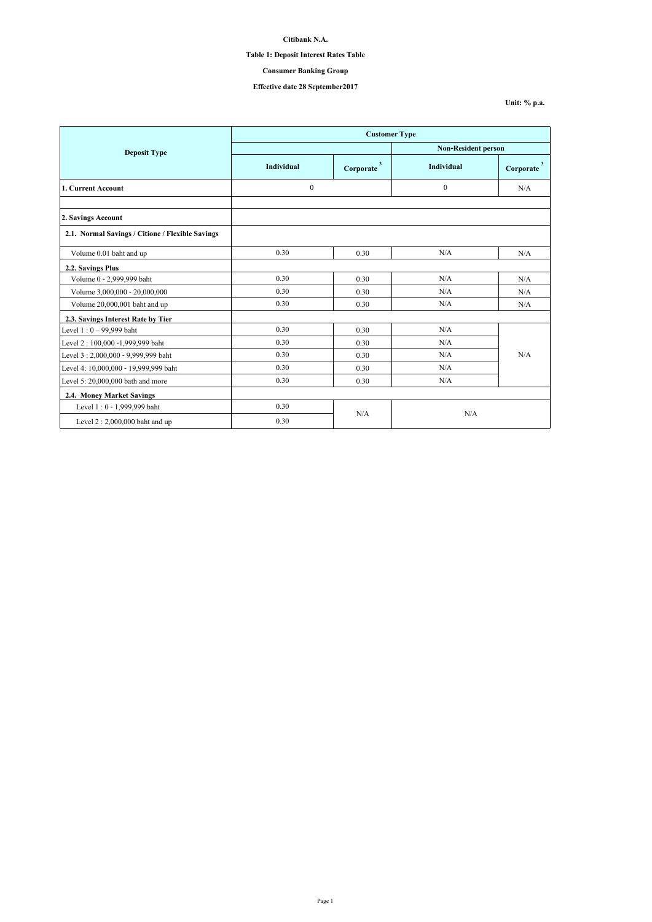### **Table 1: Deposit Interest Rates Table**

# **Consumer Banking Group**

### **Effective date 28 September2017**

**Unit: % p.a.**

|                                                  | <b>Customer Type</b> |                |                            |                |
|--------------------------------------------------|----------------------|----------------|----------------------------|----------------|
| <b>Deposit Type</b>                              |                      |                | <b>Non-Resident person</b> |                |
|                                                  | <b>Individual</b>    | 3<br>Corporate | Individual                 | 3<br>Corporate |
| 1. Current Account                               | $\boldsymbol{0}$     |                | $\theta$                   | N/A            |
| 2. Savings Account                               |                      |                |                            |                |
| 2.1. Normal Savings / Citione / Flexible Savings |                      |                |                            |                |
| Volume 0.01 baht and up                          | 0.30                 | 0.30           | N/A                        | N/A            |
| 2.2. Savings Plus                                |                      |                |                            |                |
| Volume 0 - 2,999,999 baht                        | 0.30                 | 0.30           | N/A                        | N/A            |
| Volume 3,000,000 - 20,000,000                    | 0.30                 | 0.30           | N/A                        | N/A            |
| Volume 20,000,001 baht and up                    | 0.30                 | 0.30           | N/A                        | N/A            |
| 2.3. Savings Interest Rate by Tier               |                      |                |                            |                |
| Level $1:0 - 99,999$ baht                        | 0.30                 | 0.30           | N/A                        |                |
| Level 2: 100,000 -1,999,999 baht                 | 0.30                 | 0.30           | N/A                        |                |
| Level 3: 2,000,000 - 9,999,999 baht              | 0.30                 | 0.30           | N/A                        | N/A            |
| Level 4: 10,000,000 - 19,999,999 baht            | 0.30                 | 0.30           | N/A                        |                |
| Level 5: 20,000,000 bath and more                | 0.30                 | 0.30           | N/A                        |                |
| 2.4. Money Market Savings                        |                      |                |                            |                |
| Level 1:0 - 1,999,999 baht                       | 0.30                 | N/A            | N/A                        |                |
| Level $2:2,000,000$ baht and up                  | 0.30                 |                |                            |                |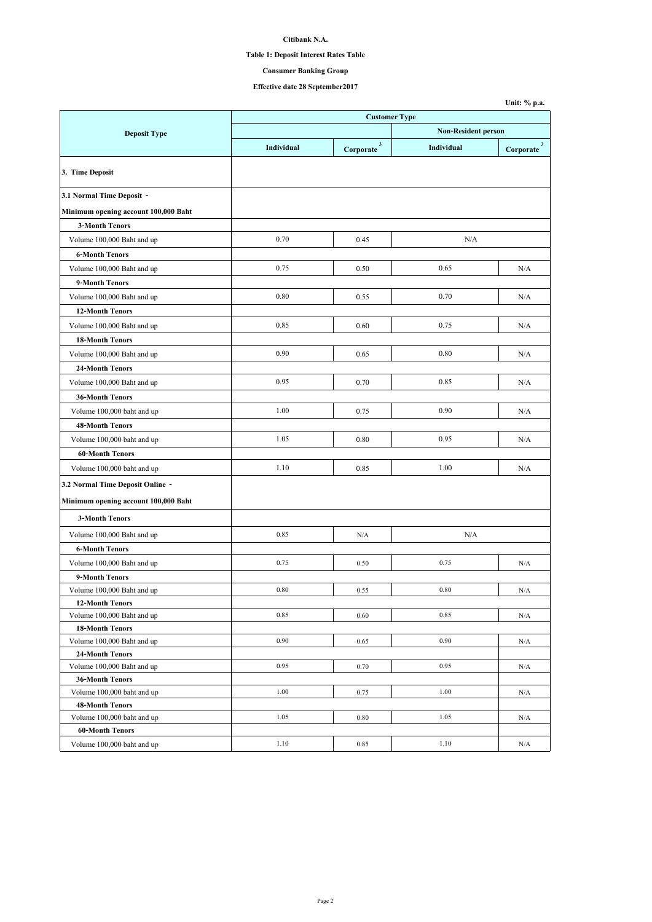## **Table 1: Deposit Interest Rates Table**

## **Consumer Banking Group**

|                                               |                      |                          |                            | Unit: % p.a.             |  |
|-----------------------------------------------|----------------------|--------------------------|----------------------------|--------------------------|--|
|                                               | <b>Customer Type</b> |                          |                            |                          |  |
| <b>Deposit Type</b>                           |                      |                          | <b>Non-Resident person</b> |                          |  |
|                                               | Individual           | $Corporate$ <sup>3</sup> | Individual                 | $Corporate$ <sup>3</sup> |  |
| 3. Time Deposit                               |                      |                          |                            |                          |  |
| 3.1 Normal Time Deposit -                     |                      |                          |                            |                          |  |
| Minimum opening account 100,000 Baht          |                      |                          |                            |                          |  |
| <b>3-Month Tenors</b>                         |                      |                          |                            |                          |  |
| Volume 100,000 Baht and up                    | 0.70                 | 0.45                     | N/A                        |                          |  |
| <b>6-Month Tenors</b>                         |                      |                          |                            |                          |  |
| Volume 100,000 Baht and up                    | 0.75                 | 0.50                     | 0.65                       | N/A                      |  |
| 9-Month Tenors                                |                      |                          |                            |                          |  |
| Volume 100,000 Baht and up                    | 0.80                 | 0.55                     | 0.70                       | N/A                      |  |
| 12-Month Tenors                               |                      |                          |                            |                          |  |
| Volume 100,000 Baht and up                    | 0.85                 | 0.60                     | 0.75                       | N/A                      |  |
| <b>18-Month Tenors</b>                        |                      |                          |                            |                          |  |
| Volume 100,000 Baht and up                    | 0.90                 | 0.65                     | 0.80                       | N/A                      |  |
|                                               |                      |                          |                            |                          |  |
| 24-Month Tenors                               | 0.95                 | 0.70                     | 0.85                       | N/A                      |  |
| Volume 100,000 Baht and up                    |                      |                          |                            |                          |  |
| <b>36-Month Tenors</b>                        |                      |                          |                            |                          |  |
| Volume 100,000 baht and up                    | 1.00                 | 0.75                     | 0.90                       | N/A                      |  |
| <b>48-Month Tenors</b>                        |                      |                          |                            |                          |  |
| Volume 100,000 baht and up                    | 1.05                 | 0.80                     | 0.95                       | N/A                      |  |
| <b>60-Month Tenors</b>                        |                      |                          |                            |                          |  |
| Volume 100,000 baht and up                    | 1.10                 | 0.85                     | 1.00                       | N/A                      |  |
| 3.2 Normal Time Deposit Online -              |                      |                          |                            |                          |  |
| Minimum opening account 100,000 Baht          |                      |                          |                            |                          |  |
| <b>3-Month Tenors</b>                         |                      |                          |                            |                          |  |
| Volume 100,000 Baht and up                    | 0.85                 | N/A                      | N/A                        |                          |  |
| <b>6-Month Tenors</b>                         |                      |                          |                            |                          |  |
| Volume 100,000 Baht and up                    | 0.75                 | 0.50                     | 0.75                       | N/A                      |  |
| 9-Month Tenors                                |                      |                          |                            |                          |  |
| Volume 100,000 Baht and up                    | 0.80                 | 0.55                     | 0.80                       | N/A                      |  |
| <b>12-Month Tenors</b>                        |                      |                          |                            |                          |  |
| Volume 100,000 Baht and up                    | 0.85                 | 0.60                     | 0.85                       | N/A                      |  |
| <b>18-Month Tenors</b>                        |                      |                          |                            |                          |  |
| Volume 100,000 Baht and up                    | 0.90                 | 0.65                     | 0.90                       | N/A                      |  |
| 24-Month Tenors<br>Volume 100,000 Baht and up | 0.95                 | 0.70                     | 0.95                       | N/A                      |  |
| <b>36-Month Tenors</b>                        |                      |                          |                            |                          |  |
| Volume 100,000 baht and up                    | 1.00                 | 0.75                     | 1.00                       | N/A                      |  |
| <b>48-Month Tenors</b>                        |                      |                          |                            |                          |  |
| Volume 100,000 baht and up                    | 1.05                 | 0.80                     | 1.05                       | N/A                      |  |
| <b>60-Month Tenors</b>                        |                      |                          |                            |                          |  |
| Volume 100,000 baht and up                    | 1.10                 | 0.85                     | 1.10                       | N/A                      |  |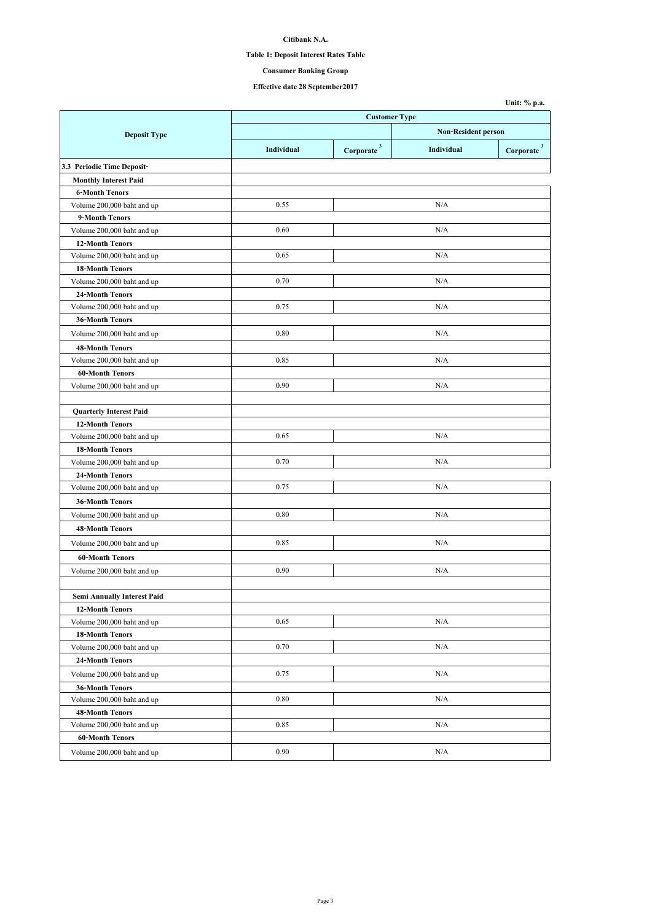## **Table 1: Deposit Interest Rates Table**

# **Consumer Banking Group**

|                                                              |            |                                      |            | Unit: % p.a.           |
|--------------------------------------------------------------|------------|--------------------------------------|------------|------------------------|
|                                                              |            | <b>Customer Type</b>                 |            |                        |
| <b>Deposit Type</b>                                          |            | <b>Non-Resident person</b>           |            |                        |
|                                                              | Individual | $\overline{\mathbf{3}}$<br>Corporate | Individual | Corporate <sup>3</sup> |
| 3.3 Periodic Time Deposit-                                   |            |                                      |            |                        |
| <b>Monthly Interest Paid</b>                                 |            |                                      |            |                        |
| <b>6-Month Tenors</b>                                        |            |                                      |            |                        |
| Volume 200,000 baht and up                                   | 0.55       |                                      | N/A        |                        |
| 9-Month Tenors                                               |            |                                      |            |                        |
| Volume 200,000 baht and up                                   | 0.60       |                                      | N/A        |                        |
| <b>12-Month Tenors</b>                                       |            |                                      |            |                        |
| Volume 200,000 baht and up                                   | 0.65       |                                      | N/A        |                        |
| <b>18-Month Tenors</b>                                       |            |                                      |            |                        |
| Volume 200,000 baht and up                                   | 0.70       |                                      | N/A        |                        |
| 24-Month Tenors                                              |            |                                      |            |                        |
| Volume 200,000 baht and up                                   | 0.75       |                                      | N/A        |                        |
| <b>36-Month Tenors</b>                                       |            |                                      |            |                        |
| Volume 200,000 baht and up                                   | 0.80       |                                      | N/A        |                        |
| <b>48-Month Tenors</b>                                       |            |                                      |            |                        |
| Volume 200,000 baht and up                                   | 0.85       |                                      | N/A        |                        |
| <b>60-Month Tenors</b>                                       |            |                                      |            |                        |
| Volume 200,000 baht and up                                   | 0.90       |                                      | N/A        |                        |
|                                                              |            |                                      |            |                        |
| <b>Quarterly Interest Paid</b>                               |            |                                      |            |                        |
| <b>12-Month Tenors</b>                                       |            |                                      |            |                        |
| Volume 200,000 baht and up                                   | 0.65       |                                      | N/A        |                        |
| <b>18-Month Tenors</b>                                       |            |                                      |            |                        |
| Volume 200,000 baht and up                                   | 0.70       |                                      | N/A        |                        |
| 24-Month Tenors                                              |            |                                      |            |                        |
| Volume 200,000 baht and up                                   | 0.75       |                                      | N/A        |                        |
| <b>36-Month Tenors</b>                                       |            |                                      |            |                        |
| Volume 200,000 baht and up                                   | 0.80       |                                      | N/A        |                        |
| <b>48-Month Tenors</b>                                       |            |                                      |            |                        |
| Volume 200,000 baht and up                                   | 0.85       |                                      | N/A        |                        |
|                                                              |            |                                      |            |                        |
| <b>60-Month Tenors</b><br>Volume 200,000 baht and up         | 0.90       |                                      | N/A        |                        |
|                                                              |            |                                      |            |                        |
|                                                              |            |                                      |            |                        |
| <b>Semi Annually Interest Paid</b><br><b>12-Month Tenors</b> |            |                                      |            |                        |
| Volume 200,000 baht and up                                   | 0.65       |                                      | N/A        |                        |
| <b>18-Month Tenors</b>                                       |            |                                      |            |                        |
| Volume 200,000 baht and up                                   | 0.70       |                                      | N/A        |                        |
| 24-Month Tenors                                              |            |                                      |            |                        |
|                                                              |            |                                      |            |                        |
| Volume 200,000 baht and up                                   | 0.75       |                                      | N/A        |                        |
| <b>36-Month Tenors</b><br>Volume 200,000 baht and up         | 0.80       |                                      | N/A        |                        |
| <b>48-Month Tenors</b>                                       |            |                                      |            |                        |
| Volume 200,000 baht and up                                   | 0.85       |                                      | N/A        |                        |
| <b>60-Month Tenors</b>                                       |            |                                      |            |                        |
|                                                              | 0.90       |                                      |            |                        |
| Volume 200,000 baht and up                                   |            |                                      | N/A        |                        |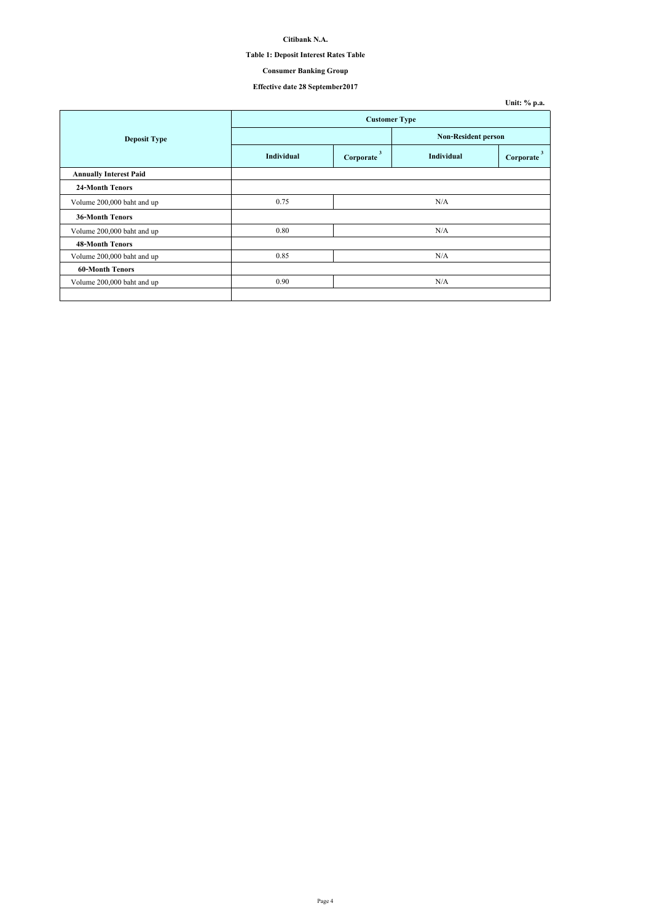## **Table 1: Deposit Interest Rates Table**

# **Consumer Banking Group**

|                               |                      |                |                            | Unit: % p.a.              |
|-------------------------------|----------------------|----------------|----------------------------|---------------------------|
|                               | <b>Customer Type</b> |                |                            |                           |
| <b>Deposit Type</b>           |                      |                | <b>Non-Resident person</b> |                           |
|                               | <b>Individual</b>    | 3<br>Corporate | Individual                 | $\mathbf{3}$<br>Corporate |
| <b>Annually Interest Paid</b> |                      |                |                            |                           |
| <b>24-Month Tenors</b>        |                      |                |                            |                           |
| Volume 200,000 baht and up    | 0.75                 |                | N/A                        |                           |
| 36-Month Tenors               |                      |                |                            |                           |
| Volume 200,000 baht and up    | 0.80                 |                | N/A                        |                           |
| <b>48-Month Tenors</b>        |                      |                |                            |                           |
| Volume 200,000 baht and up    | 0.85                 |                | N/A                        |                           |
| <b>60-Month Tenors</b>        |                      |                |                            |                           |
| Volume 200,000 baht and up    | 0.90                 |                | N/A                        |                           |
|                               |                      |                |                            |                           |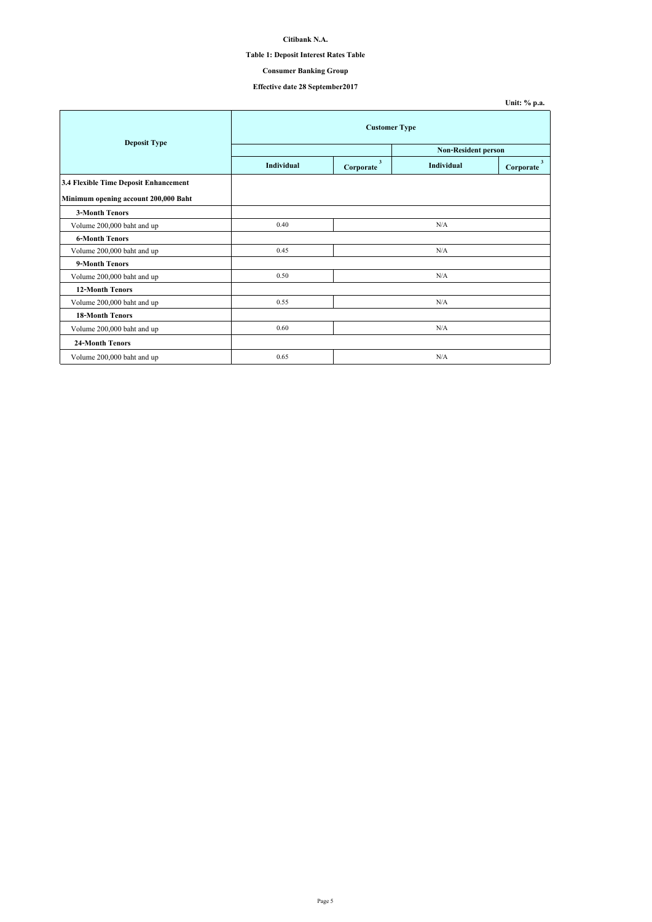### **Table 1: Deposit Interest Rates Table**

## **Consumer Banking Group**

|                                       |                      |                                      |                            | Unit: % p.a.                         |
|---------------------------------------|----------------------|--------------------------------------|----------------------------|--------------------------------------|
| <b>Deposit Type</b>                   | <b>Customer Type</b> |                                      |                            |                                      |
|                                       |                      |                                      | <b>Non-Resident person</b> |                                      |
|                                       | <b>Individual</b>    | $\overline{\mathbf{3}}$<br>Corporate | <b>Individual</b>          | $\overline{\mathbf{3}}$<br>Corporate |
| 3.4 Flexible Time Deposit Enhancement |                      |                                      |                            |                                      |
| Minimum opening account 200,000 Baht  |                      |                                      |                            |                                      |
| <b>3-Month Tenors</b>                 |                      |                                      |                            |                                      |
| Volume 200,000 baht and up            | 0.40                 |                                      | N/A                        |                                      |
| <b>6-Month Tenors</b>                 |                      |                                      |                            |                                      |
| Volume 200,000 baht and up            | 0.45                 |                                      | N/A                        |                                      |
| 9-Month Tenors                        |                      |                                      |                            |                                      |
| Volume 200,000 baht and up            | 0.50                 |                                      | N/A                        |                                      |
| <b>12-Month Tenors</b>                |                      |                                      |                            |                                      |
| Volume 200,000 baht and up            | 0.55                 |                                      | N/A                        |                                      |
| <b>18-Month Tenors</b>                |                      |                                      |                            |                                      |
| Volume 200,000 baht and up            | 0.60                 |                                      | N/A                        |                                      |
| <b>24-Month Tenors</b>                |                      |                                      |                            |                                      |
| Volume 200,000 baht and up            | 0.65                 |                                      | N/A                        |                                      |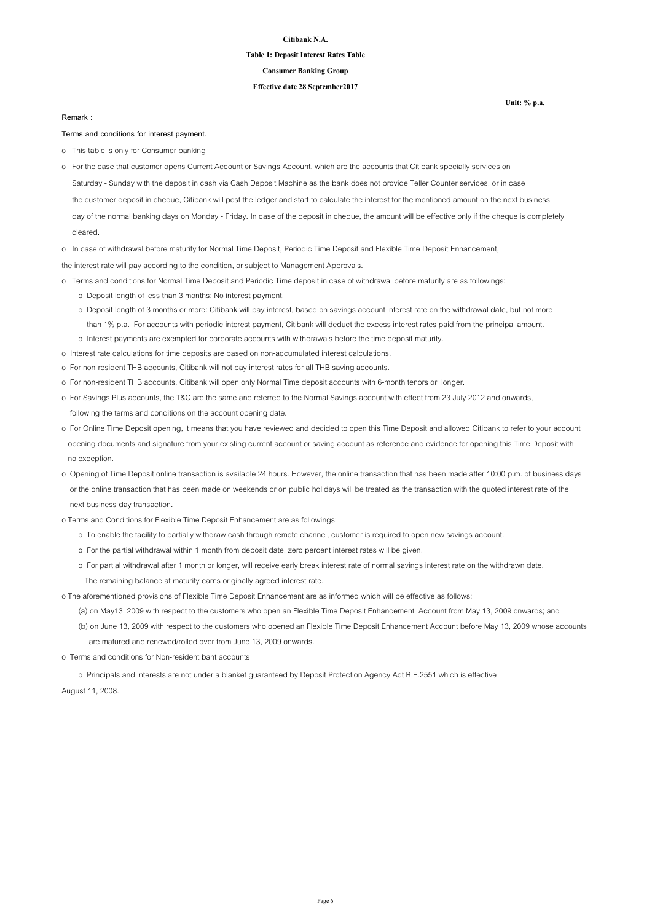### **Table 1: Deposit Interest Rates Table**

#### **Consumer Banking Group**

#### **Effective date 28 September2017**

#### **Remark :**

#### **Terms and conditions for interest payment.**

- o This table is only for Consumer banking
- Saturday Sunday with the deposit in cash via Cash Deposit Machine as the bank does not provide Teller Counter services, or in case the customer deposit in cheque, Citibank will post the ledger and start to calculate the interest for the mentioned amount on the next business day of the normal banking days on Monday - Friday. In case of the deposit in cheque, the amount will be effective only if the cheque is completely cleared. o For the case that customer opens Current Account or Savings Account, which are the accounts that Citibank specially services on
- o In case of withdrawal before maturity for Normal Time Deposit, Periodic Time Deposit and Flexible Time Deposit Enhancement,
- the interest rate will pay according to the condition, or subject to Management Approvals.
- o Terms and conditions for Normal Time Deposit and Periodic Time deposit in case of withdrawal before maturity are as followings:
	- o Deposit length of less than 3 months: No interest payment.
	- o Deposit length of 3 months or more: Citibank will pay interest, based on savings account interest rate on the withdrawal date, but not more than 1% p.a. For accounts with periodic interest payment, Citibank will deduct the excess interest rates paid from the principal amount.
	- o Interest payments are exempted for corporate accounts with withdrawals before the time deposit maturity.
- o Interest rate calculations for time deposits are based on non-accumulated interest calculations.
- o For non-resident THB accounts, Citibank will not pay interest rates for all THB saving accounts.
- o For non-resident THB accounts, Citibank will open only Normal Time deposit accounts with 6-month tenors or longer.
- o For Savings Plus accounts, the T&C are the same and referred to the Normal Savings account with effect from 23 July 2012 and onwards, following the terms and conditions on the account opening date.
- o For Online Time Deposit opening, it means that you have reviewed and decided to open this Time Deposit and allowed Citibank to refer to your account opening documents and signature from your existing current account or saving account as reference and evidence for opening this Time Deposit with no exception.
- o Opening of Time Deposit online transaction is available 24 hours. However, the online transaction that has been made after 10:00 p.m. of business days or the online transaction that has been made on weekends or on public holidays will be treated as the transaction with the quoted interest rate of the next business day transaction.
- o Terms and Conditions for Flexible Time Deposit Enhancement are as followings:
	- o To enable the facility to partially withdraw cash through remote channel, customer is required to open new savings account.
	- o For the partial withdrawal within 1 month from deposit date, zero percent interest rates will be given.
	- o For partial withdrawal after 1 month or longer, will receive early break interest rate of normal savings interest rate on the withdrawn date.
	- The remaining balance at maturity earns originally agreed interest rate.

o The aforementioned provisions of Flexible Time Deposit Enhancement are as informed which will be effective as follows:

 (a) on May13, 2009 with respect to the customers who open an Flexible Time Deposit Enhancement Account from May 13, 2009 onwards; and (b) on June 13, 2009 with respect to the customers who opened an Flexible Time Deposit Enhancement Account before May 13, 2009 whose accounts are matured and renewed/rolled over from June 13, 2009 onwards.

o Terms and conditions for Non-resident baht accounts

o Principals and interests are not under a blanket guaranteed by Deposit Protection Agency Act B.E.2551 which is effective

August 11, 2008.

**Unit: % p.a.**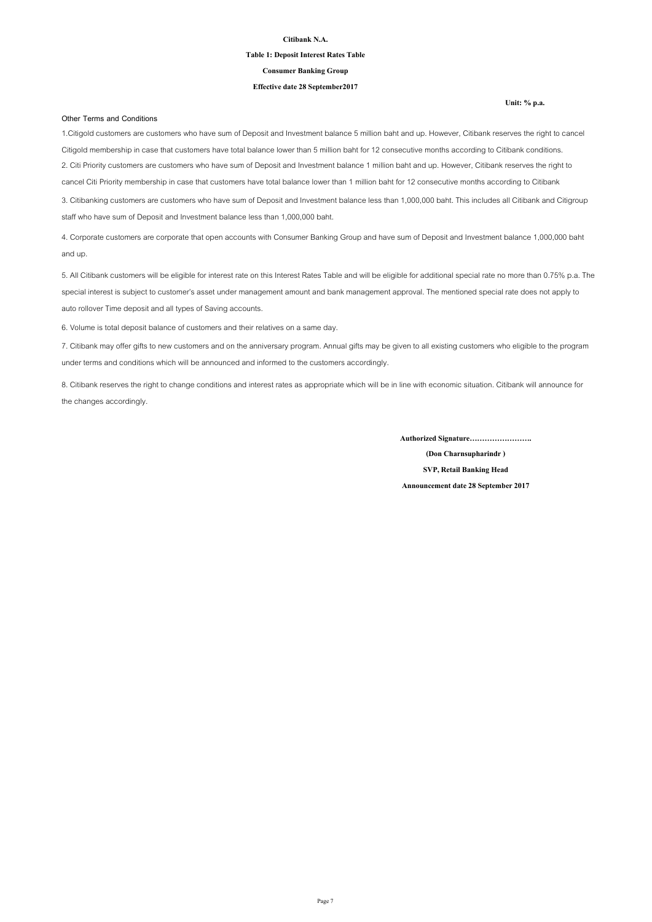### **Table 1: Deposit Interest Rates Table**

**Consumer Banking Group**

#### **Effective date 28 September2017**

**Unit: % p.a.**

#### **Other Terms and Conditions**

1.Citigold customers are customers who have sum of Deposit and Investment balance 5 million baht and up. However, Citibank reserves the right to cancel Citigold membership in case that customers have total balance lower than 5 million baht for 12 consecutive months according to Citibank conditions. 2. Citi Priority customers are customers who have sum of Deposit and Investment balance 1 million baht and up. However, Citibank reserves the right to cancel Citi Priority membership in case that customers have total balance lower than 1 million baht for 12 consecutive months according to Citibank 3. Citibanking customers are customers who have sum of Deposit and Investment balance less than 1,000,000 baht. This includes all Citibank and Citigroup staff who have sum of Deposit and Investment balance less than 1,000,000 baht.

4. Corporate customers are corporate that open accounts with Consumer Banking Group and have sum of Deposit and Investment balance 1,000,000 baht and up.

5. All Citibank customers will be eligible for interest rate on this Interest Rates Table and will be eligible for additional special rate no more than 0.75% p.a. The special interest is subject to customer's asset under management amount and bank management approval. The mentioned special rate does not apply to auto rollover Time deposit and all types of Saving accounts.

6. Volume is total deposit balance of customers and their relatives on a same day.

7. Citibank may offer gifts to new customers and on the anniversary program. Annual gifts may be given to all existing customers who eligible to the program under terms and conditions which will be announced and informed to the customers accordingly.

8. Citibank reserves the right to change conditions and interest rates as appropriate which will be in line with economic situation. Citibank will announce for the changes accordingly.

**Authorized Signature…………………….**

**(Don Charnsupharindr ) SVP, Retail Banking Head**

**Announcement date 28 September 2017**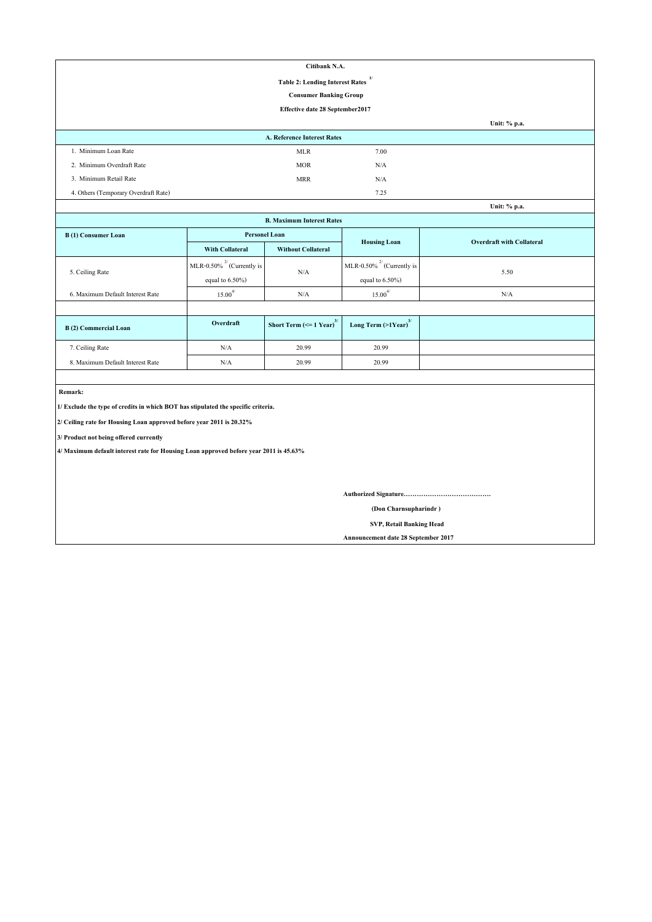| Citibank N.A.                                          |                                    |      |              |  |  |
|--------------------------------------------------------|------------------------------------|------|--------------|--|--|
| $\mathbf{I}$<br><b>Table 2: Lending Interest Rates</b> |                                    |      |              |  |  |
|                                                        | <b>Consumer Banking Group</b>      |      |              |  |  |
|                                                        | Effective date 28 September 2017   |      |              |  |  |
|                                                        |                                    |      | Unit: % p.a. |  |  |
|                                                        | <b>A. Reference Interest Rates</b> |      |              |  |  |
| 1. Minimum Loan Rate                                   | <b>MLR</b>                         | 7.00 |              |  |  |
| 2. Minimum Overdraft Rate                              | <b>MOR</b>                         | N/A  |              |  |  |
| 3. Minimum Retail Rate                                 | <b>MRR</b>                         | N/A  |              |  |  |
| 4. Others (Temporary Overdraft Rate)                   |                                    | 7.25 |              |  |  |
|                                                        |                                    |      | Unit: % p.a. |  |  |

| <b>B. Maximum Interest Rates</b>                                     |                                 |                                               |                                     |                                  |
|----------------------------------------------------------------------|---------------------------------|-----------------------------------------------|-------------------------------------|----------------------------------|
| B(1) Consumer Loan                                                   | <b>Personel Loan</b>            |                                               |                                     | <b>Overdraft with Collateral</b> |
|                                                                      | <b>With Collateral</b>          | <b>Without Collateral</b>                     | <b>Housing Loan</b>                 |                                  |
|                                                                      | MLR-0.50% $^{27}$ (Currently is |                                               | MLR-0.50% $^{27}$ (Currently is     | 5.50                             |
| 5. Ceiling Rate<br>N/A<br>equal to $6.50\%$ )<br>equal to $6.50\%$ ) |                                 |                                               |                                     |                                  |
| 6. Maximum Default Interest Rate                                     | 4/<br>15.00                     | N/A                                           | 4/<br>15.00                         | N/A                              |
|                                                                      |                                 |                                               |                                     |                                  |
| B(2) Commercial Loan                                                 | Overdraft                       | Short Term $\left(\leq 1$ Year) <sup>3/</sup> | Long Term $(>1$ Year) <sup>3/</sup> |                                  |
| 7. Ceiling Rate                                                      | N/A                             | 20.99                                         | 20.99                               |                                  |

 **Remark:**

**1/ Exclude the type of credits in which BOT has stipulated the specific criteria.**

**2/ Ceiling rate for Housing Loan approved before year 2011 is 20.32%**

**3/ Product not being offered currently**

**4/ Maximum default interest rate for Housing Loan approved before year 2011 is 45.63%**

8. Maximum Default Interest Rate N/A 20.99 20.99

**Authorized Signature………………………………….**

 **(Don Charnsupharindr )**

 **SVP, Retail Banking Head**

**Announcement date 28 September 2017**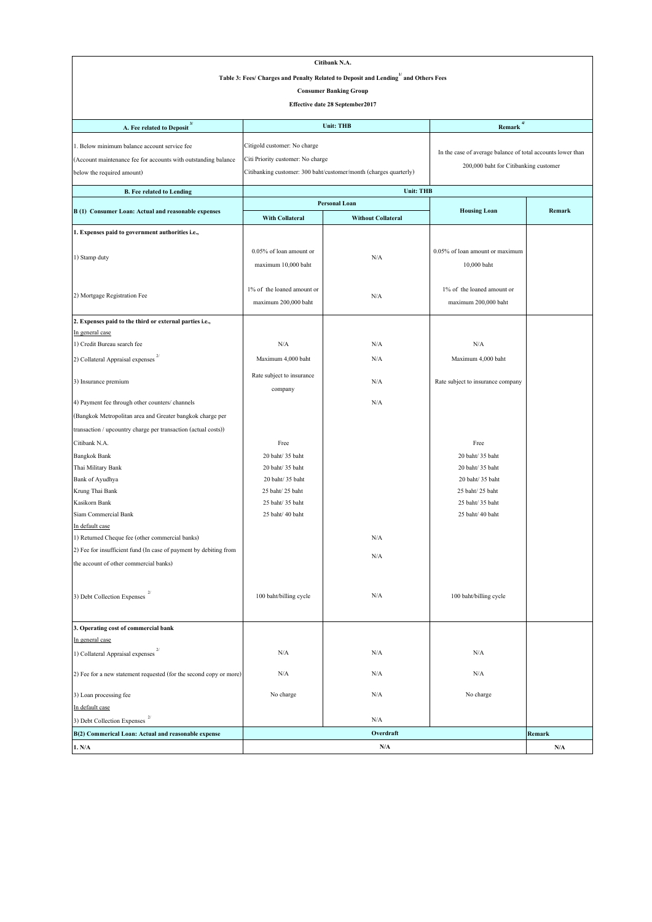|                                                                    |                                   | Citibank N.A.                                                                     |                                                             |           |
|--------------------------------------------------------------------|-----------------------------------|-----------------------------------------------------------------------------------|-------------------------------------------------------------|-----------|
|                                                                    |                                   | Table 3: Fees/ Charges and Penalty Related to Deposit and Lending and Others Fees |                                                             |           |
|                                                                    |                                   | <b>Consumer Banking Group</b>                                                     |                                                             |           |
|                                                                    |                                   |                                                                                   |                                                             |           |
|                                                                    |                                   | Effective date 28 September2017                                                   |                                                             |           |
| A. Fee related to Deposit <sup>3/</sup>                            |                                   | <b>Unit: THB</b>                                                                  | $4/$<br>Remark                                              |           |
| 1. Below minimum balance account service fee                       | Citigold customer: No charge      |                                                                                   |                                                             |           |
| (Account maintenance fee for accounts with outstanding balance     | Citi Priority customer: No charge |                                                                                   | In the case of average balance of total accounts lower than |           |
| below the required amount)                                         |                                   | Citibanking customer: 300 baht/customer/month (charges quarterly)                 | 200,000 baht for Citibanking customer                       |           |
|                                                                    |                                   |                                                                                   |                                                             |           |
| <b>B.</b> Fee related to Lending                                   |                                   | <b>Unit: THB</b>                                                                  |                                                             |           |
| B (1) Consumer Loan: Actual and reasonable expenses                |                                   | <b>Personal Loan</b>                                                              | <b>Housing Loan</b>                                         | Remark    |
|                                                                    | <b>With Collateral</b>            | <b>Without Collateral</b>                                                         |                                                             |           |
| 1. Expenses paid to government authorities i.e.,                   |                                   |                                                                                   |                                                             |           |
|                                                                    | 0.05% of loan amount or           |                                                                                   | 0.05% of loan amount or maximum                             |           |
| 1) Stamp duty                                                      |                                   | N/A                                                                               |                                                             |           |
|                                                                    | maximum 10,000 baht               |                                                                                   | 10,000 baht                                                 |           |
|                                                                    |                                   |                                                                                   |                                                             |           |
| 2) Mortgage Registration Fee                                       | 1% of the loaned amount or        | N/A                                                                               | 1% of the loaned amount or                                  |           |
|                                                                    | maximum 200,000 baht              |                                                                                   | maximum 200,000 baht                                        |           |
| 2. Expenses paid to the third or external parties i.e.,            |                                   |                                                                                   |                                                             |           |
| In general case                                                    |                                   |                                                                                   |                                                             |           |
| 1) Credit Bureau search fee                                        | N/A                               | N/A                                                                               | N/A                                                         |           |
| 2) Collateral Appraisal expenses                                   | Maximum 4,000 baht                | N/A                                                                               | Maximum 4,000 baht                                          |           |
|                                                                    | Rate subject to insurance         |                                                                                   |                                                             |           |
| 3) Insurance premium                                               | company                           | N/A                                                                               | Rate subject to insurance company                           |           |
| 4) Payment fee through other counters/ channels                    |                                   | N/A                                                                               |                                                             |           |
| (Bangkok Metropolitan area and Greater bangkok charge per          |                                   |                                                                                   |                                                             |           |
| transaction / upcountry charge per transaction (actual costs))     |                                   |                                                                                   |                                                             |           |
| Citibank N.A.                                                      | Free                              |                                                                                   | Free                                                        |           |
| <b>Bangkok Bank</b>                                                | 20 baht/ 35 baht                  |                                                                                   | 20 baht/ 35 baht                                            |           |
| Thai Military Bank                                                 | 20 baht/ 35 baht                  |                                                                                   | 20 baht/ 35 baht                                            |           |
| Bank of Ayudhya                                                    | 20 baht/ 35 baht                  |                                                                                   | 20 baht/ 35 baht                                            |           |
| Krung Thai Bank                                                    | 25 baht/25 baht                   |                                                                                   | 25 baht/25 baht                                             |           |
| Kasikorn Bank                                                      | 25 baht/ 35 baht                  |                                                                                   | 25 baht/ 35 baht                                            |           |
| Siam Commercial Bank                                               | 25 baht/ 40 baht                  |                                                                                   | 25 baht/ 40 baht                                            |           |
| In default case                                                    |                                   |                                                                                   |                                                             |           |
| 1) Returned Cheque fee (other commercial banks)                    |                                   | N/A                                                                               |                                                             |           |
| 2) Fee for insufficient fund (In case of payment by debiting from  |                                   |                                                                                   |                                                             |           |
| the account of other commercial banks)                             |                                   | N/A                                                                               |                                                             |           |
|                                                                    |                                   |                                                                                   |                                                             |           |
|                                                                    |                                   |                                                                                   |                                                             |           |
| 3) Debt Collection Expenses                                        | 100 baht/billing cycle            | N/A                                                                               | 100 baht/billing cycle                                      |           |
|                                                                    |                                   |                                                                                   |                                                             |           |
| 3. Operating cost of commercial bank                               |                                   |                                                                                   |                                                             |           |
| In general case                                                    |                                   |                                                                                   |                                                             |           |
| 1) Collateral Appraisal expenses                                   | N/A                               | N/A                                                                               | N/A                                                         |           |
|                                                                    |                                   |                                                                                   |                                                             |           |
| 2) Fee for a new statement requested (for the second copy or more) | N/A                               | N/A                                                                               | N/A                                                         |           |
| 3) Loan processing fee                                             | No charge                         | N/A                                                                               | No charge                                                   |           |
| In default case                                                    |                                   |                                                                                   |                                                             |           |
| 3) Debt Collection Expenses                                        |                                   | N/A                                                                               |                                                             |           |
| B(2) Commerical Loan: Actual and reasonable expense                |                                   | Overdraft                                                                         |                                                             | Remark    |
| 1. N/A                                                             |                                   | N/A                                                                               |                                                             | $\rm N/A$ |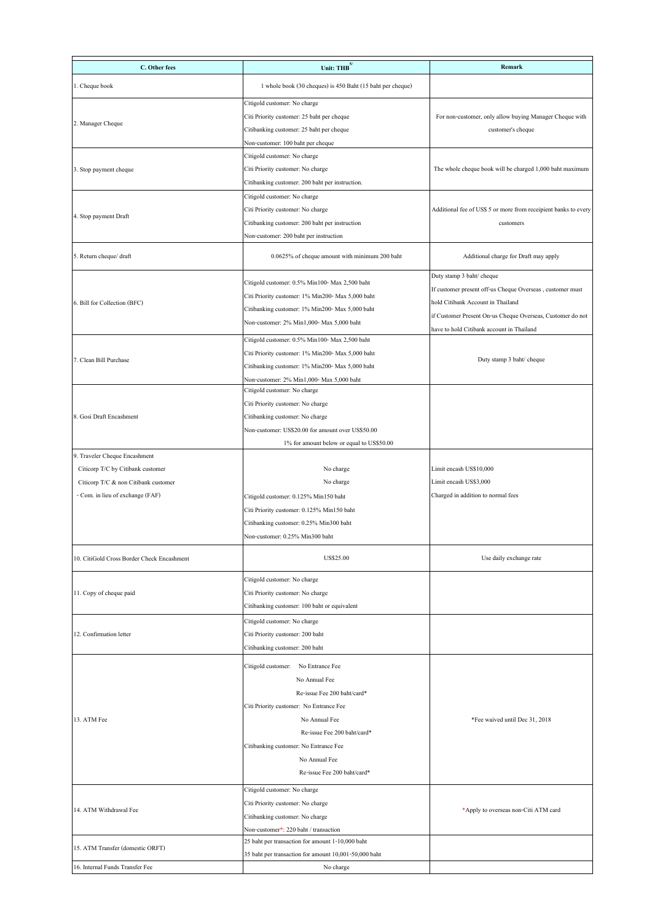| C. Other fees                              | Unit: $THB$ <sup>5/</sup>                                                 | Remark                                                          |
|--------------------------------------------|---------------------------------------------------------------------------|-----------------------------------------------------------------|
| 1. Cheque book                             | 1 whole book (30 cheques) is 450 Baht (15 baht per cheque)                |                                                                 |
|                                            | Citigold customer: No charge                                              |                                                                 |
|                                            | Citi Priority customer: 25 baht per cheque                                | For non-customer, only allow buying Manager Cheque with         |
| 2. Manager Cheque                          | Citibanking customer: 25 baht per cheque                                  | customer's cheque                                               |
|                                            | Non-customer: 100 baht per cheque                                         |                                                                 |
|                                            | Citigold customer: No charge                                              |                                                                 |
| 3. Stop payment cheque                     | Citi Priority customer: No charge                                         | The whole cheque book will be charged 1,000 baht maximum        |
|                                            | Citibanking customer: 200 baht per instruction.                           |                                                                 |
|                                            | Citigold customer: No charge                                              |                                                                 |
| 4. Stop payment Draft                      | Citi Priority customer: No charge                                         | Additional fee of US\$ 5 or more from receipient banks to every |
|                                            | Citibanking customer: 200 baht per instruction                            | customers                                                       |
|                                            | Non-customer: 200 baht per instruction                                    |                                                                 |
| 5. Return cheque/ draft                    | 0.0625% of cheque amount with minimum 200 baht                            | Additional charge for Draft may apply                           |
|                                            | Citigold customer: 0.5% Min100- Max 2,500 baht                            | Duty stamp 3 baht/ cheque                                       |
|                                            | Citi Priority customer: 1% Min200- Max 5,000 baht                         | If customer present off-us Cheque Overseas, customer must       |
| 6. Bill for Collection (BFC)               | Citibanking customer: 1% Min200- Max 5,000 baht                           | hold Citibank Account in Thailand                               |
|                                            | Non-customer: 2% Min1,000- Max 5,000 baht                                 | if Customer Present On-us Cheque Overseas, Customer do not      |
|                                            |                                                                           | have to hold Citibank account in Thailand                       |
|                                            | Citigold customer: 0.5% Min100- Max 2,500 baht                            |                                                                 |
| 7. Clean Bill Purchase                     | Citi Priority customer: 1% Min200- Max 5,000 baht                         | Duty stamp 3 baht/ cheque                                       |
|                                            | Citibanking customer: 1% Min200- Max 5,000 baht                           |                                                                 |
|                                            | Non-customer: 2% Min1,000- Max 5,000 baht<br>Citigold customer: No charge |                                                                 |
|                                            | Citi Priority customer: No charge                                         |                                                                 |
| 8. Gosi Draft Encashment                   | Citibanking customer: No charge                                           |                                                                 |
|                                            | Non-customer: US\$20.00 for amount over US\$50.00                         |                                                                 |
|                                            | 1% for amount below or equal to US\$50.00                                 |                                                                 |
| 9. Traveler Cheque Encashment              |                                                                           |                                                                 |
| Citicorp T/C by Citibank customer          | No charge                                                                 | Limit encash US\$10,000                                         |
| Citicorp T/C & non Citibank customer       | No charge                                                                 | Limit encash US\$3,000                                          |
| - Com. in lieu of exchange (FAF)           | Citigold customer: 0.125% Min150 baht                                     | Charged in addition to normal fees                              |
|                                            | Citi Priority customer: 0.125% Min150 baht                                |                                                                 |
|                                            | Citibanking customer: 0.25% Min300 baht                                   |                                                                 |
|                                            | Non-customer: 0.25% Min300 baht                                           |                                                                 |
| 10. CitiGold Cross Border Check Encashment | US\$25.00                                                                 | Use daily exchange rate                                         |
|                                            | Citigold customer: No charge                                              |                                                                 |
| 11. Copy of cheque paid                    | Citi Priority customer: No charge                                         |                                                                 |
|                                            | Citibanking customer: 100 baht or equivalent                              |                                                                 |
|                                            | Citigold customer: No charge                                              |                                                                 |
| 12. Confirmation letter                    | Citi Priority customer: 200 baht                                          |                                                                 |
|                                            | Citibanking customer: 200 baht                                            |                                                                 |
|                                            | Citigold customer: No Entrance Fee                                        |                                                                 |
|                                            | No Annual Fee                                                             |                                                                 |
|                                            | Re-issue Fee 200 baht/card*                                               |                                                                 |
|                                            | Citi Priority customer: No Entrance Fee                                   |                                                                 |
| 13. ATM Fee                                | No Annual Fee                                                             | *Fee waived until Dec 31, 2018                                  |
|                                            | Re-issue Fee 200 baht/card*                                               |                                                                 |
|                                            | Citibanking customer: No Entrance Fee                                     |                                                                 |
|                                            | No Annual Fee                                                             |                                                                 |
|                                            | Re-issue Fee 200 baht/card*                                               |                                                                 |
|                                            | Citigold customer: No charge                                              |                                                                 |
| 14. ATM Withdrawal Fee                     | Citi Priority customer: No charge                                         | *Apply to overseas non-Citi ATM card                            |
|                                            | Citibanking customer: No charge                                           |                                                                 |
|                                            | Non-customer*: 220 baht / transaction                                     |                                                                 |
| 15. ATM Transfer (domestic ORFT)           | 25 baht per transaction for amount 1-10,000 baht                          |                                                                 |
|                                            | 35 baht per transaction for amount 10,001-50,000 baht                     |                                                                 |
| 16. Internal Funds Transfer Fee            | No charge                                                                 |                                                                 |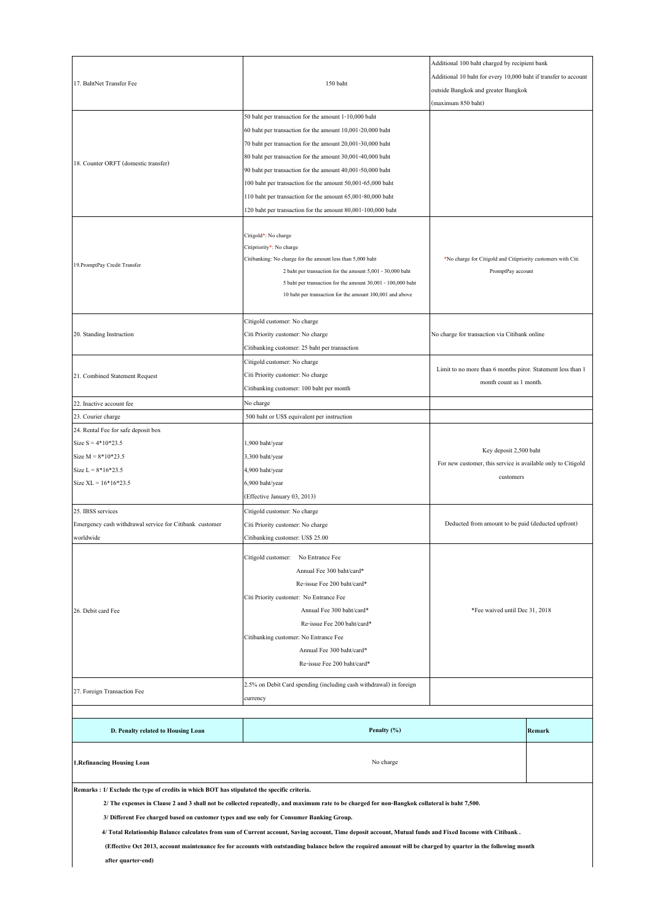| 17. BahtNet Transfer Fee                                                                                                                                                                                                                     | 150 baht                                                                                                                |                                                              | Additional 100 baht charged by recipient bank<br>Additional 10 baht for every 10,000 baht if transfer to account<br>outside Bangkok and greater Bangkok |  |
|----------------------------------------------------------------------------------------------------------------------------------------------------------------------------------------------------------------------------------------------|-------------------------------------------------------------------------------------------------------------------------|--------------------------------------------------------------|---------------------------------------------------------------------------------------------------------------------------------------------------------|--|
|                                                                                                                                                                                                                                              | 50 baht per transaction for the amount 1-10,000 baht                                                                    |                                                              |                                                                                                                                                         |  |
|                                                                                                                                                                                                                                              | 60 baht per transaction for the amount 10,001-20,000 baht                                                               |                                                              |                                                                                                                                                         |  |
|                                                                                                                                                                                                                                              | 70 baht per transaction for the amount 20,001-30,000 baht                                                               |                                                              |                                                                                                                                                         |  |
|                                                                                                                                                                                                                                              | 80 baht per transaction for the amount 30,001-40,000 baht                                                               |                                                              |                                                                                                                                                         |  |
| 18. Counter ORFT (domestic transfer)                                                                                                                                                                                                         | 90 baht per transaction for the amount 40,001-50,000 baht                                                               |                                                              |                                                                                                                                                         |  |
|                                                                                                                                                                                                                                              | 100 baht per transaction for the amount 50,001-65,000 baht                                                              |                                                              |                                                                                                                                                         |  |
|                                                                                                                                                                                                                                              | 110 baht per transaction for the amount 65,001-80,000 baht                                                              |                                                              |                                                                                                                                                         |  |
|                                                                                                                                                                                                                                              | 120 baht per transaction for the amount 80,001-100,000 baht                                                             |                                                              |                                                                                                                                                         |  |
|                                                                                                                                                                                                                                              |                                                                                                                         |                                                              |                                                                                                                                                         |  |
|                                                                                                                                                                                                                                              | Citigold*: No charge<br>Citipriority*: No charge                                                                        |                                                              |                                                                                                                                                         |  |
| 19. PromptPay Credit Transfer                                                                                                                                                                                                                | Citibanking: No charge for the amount less than 5,000 baht                                                              | *No charge for Citigold and Citipriority customers with Citi |                                                                                                                                                         |  |
|                                                                                                                                                                                                                                              | 2 baht per transaction for the amount 5,001 - 30,000 baht                                                               | PromptPay account                                            |                                                                                                                                                         |  |
|                                                                                                                                                                                                                                              | 5 baht per transaction for the amount 30,001 - 100,000 baht<br>10 baht per transaction for the amount 100,001 and above |                                                              |                                                                                                                                                         |  |
|                                                                                                                                                                                                                                              |                                                                                                                         |                                                              |                                                                                                                                                         |  |
|                                                                                                                                                                                                                                              | Citigold customer: No charge                                                                                            |                                                              |                                                                                                                                                         |  |
| 20. Standing Instruction                                                                                                                                                                                                                     | Citi Priority customer: No charge                                                                                       | No charge for transaction via Citibank online                |                                                                                                                                                         |  |
|                                                                                                                                                                                                                                              | Citibanking customer: 25 baht per transaction                                                                           |                                                              |                                                                                                                                                         |  |
|                                                                                                                                                                                                                                              | Citigold customer: No charge                                                                                            |                                                              |                                                                                                                                                         |  |
| 21. Combined Statement Request                                                                                                                                                                                                               | Citi Priority customer: No charge                                                                                       | Limit to no more than 6 months piror. Statement less than 1  |                                                                                                                                                         |  |
|                                                                                                                                                                                                                                              | Citibanking customer: 100 baht per month                                                                                | month count as 1 month.                                      |                                                                                                                                                         |  |
| 22. Inactive account fee                                                                                                                                                                                                                     | No charge                                                                                                               |                                                              |                                                                                                                                                         |  |
| 23. Courier charge                                                                                                                                                                                                                           | 500 baht or US\$ equivalent per instruction                                                                             |                                                              |                                                                                                                                                         |  |
| 24. Rental Fee for safe deposit box                                                                                                                                                                                                          |                                                                                                                         |                                                              |                                                                                                                                                         |  |
| Size $S = 4*10*23.5$                                                                                                                                                                                                                         | 1,900 baht/year                                                                                                         |                                                              |                                                                                                                                                         |  |
| Size $M = 8*10*23.5$                                                                                                                                                                                                                         | 3,300 baht/year                                                                                                         | Key deposit 2,500 baht                                       |                                                                                                                                                         |  |
| Size $L = 8*16*23.5$                                                                                                                                                                                                                         | 4,900 baht/year                                                                                                         | For new customer, this service is available only to Citigold |                                                                                                                                                         |  |
| Size $XL = 16*16*23.5$                                                                                                                                                                                                                       | 6,900 baht/year                                                                                                         | customers                                                    |                                                                                                                                                         |  |
|                                                                                                                                                                                                                                              | (Effective January 03, 2013)                                                                                            |                                                              |                                                                                                                                                         |  |
| 25. IBSS services                                                                                                                                                                                                                            | Citigold customer: No charge                                                                                            |                                                              |                                                                                                                                                         |  |
| Emergency cash withdrawal service for Citibank customer                                                                                                                                                                                      | Citi Priority customer: No charge                                                                                       | Deducted from amount to be paid (deducted upfront)           |                                                                                                                                                         |  |
| worldwide                                                                                                                                                                                                                                    | Citibanking customer: US\$ 25.00                                                                                        |                                                              |                                                                                                                                                         |  |
|                                                                                                                                                                                                                                              | Citigold customer: No Entrance Fee<br>Annual Fee 300 baht/card*                                                         |                                                              |                                                                                                                                                         |  |
|                                                                                                                                                                                                                                              | Re-issue Fee 200 baht/card*                                                                                             |                                                              |                                                                                                                                                         |  |
|                                                                                                                                                                                                                                              | Citi Priority customer: No Entrance Fee                                                                                 |                                                              |                                                                                                                                                         |  |
| 26. Debit card Fee                                                                                                                                                                                                                           | Annual Fee 300 baht/card*                                                                                               | *Fee waived until Dec 31, 2018                               |                                                                                                                                                         |  |
|                                                                                                                                                                                                                                              | Re-issue Fee 200 baht/card*                                                                                             |                                                              |                                                                                                                                                         |  |
|                                                                                                                                                                                                                                              | Citibanking customer: No Entrance Fee                                                                                   |                                                              |                                                                                                                                                         |  |
|                                                                                                                                                                                                                                              | Annual Fee 300 baht/card*                                                                                               |                                                              |                                                                                                                                                         |  |
|                                                                                                                                                                                                                                              | Re-issue Fee 200 baht/card*                                                                                             |                                                              |                                                                                                                                                         |  |
|                                                                                                                                                                                                                                              |                                                                                                                         |                                                              |                                                                                                                                                         |  |
| 27. Foreign Transaction Fee                                                                                                                                                                                                                  | 2.5% on Debit Card spending (including cash withdrawal) in foreign<br>currency                                          |                                                              |                                                                                                                                                         |  |
|                                                                                                                                                                                                                                              |                                                                                                                         |                                                              |                                                                                                                                                         |  |
| D. Penalty related to Housing Loan                                                                                                                                                                                                           | Penalty (%)                                                                                                             |                                                              | Remark                                                                                                                                                  |  |
| 1.Refinancing Housing Loan                                                                                                                                                                                                                   | No charge                                                                                                               |                                                              |                                                                                                                                                         |  |
| Remarks : 1/ Exclude the type of credits in which BOT has stipulated the specific criteria.<br>2/ The expenses in Clause 2 and 3 shall not be collected repeatedly, and maximum rate to be charged for non-Bangkok collateral is baht 7,500. |                                                                                                                         |                                                              |                                                                                                                                                         |  |

 **3/ Different Fee charged based on customer types and use only for Consumer Banking Group.**

 **4/ Total Relationship Balance calculates from sum of Current account, Saving account, Time deposit account, Mutual funds and Fixed Income with Citibank .**

 **(Effective Oct 2013, account maintenance fee for accounts with outstanding balance below the required amount will be charged by quarter in the following month**

 **after quarter-end)**